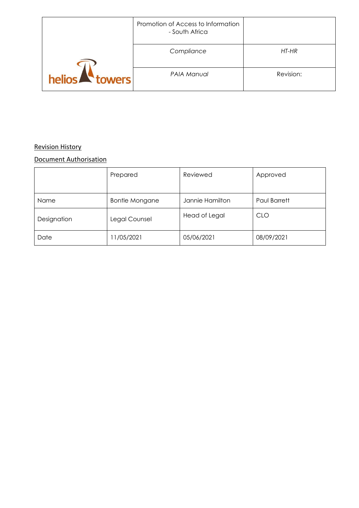|                      | Promotion of Access to Information<br>- South Africa |           |
|----------------------|------------------------------------------------------|-----------|
|                      | Compliance                                           | HT-HR     |
| helios <b>towers</b> | PAIA Manual                                          | Revision: |

## Revision History

## Document Authorisation

|             | Prepared              | Reviewed        | Approved     |
|-------------|-----------------------|-----------------|--------------|
| Name        | <b>Bontle Mongane</b> | Jannie Hamilton | Paul Barrett |
| Designation | Legal Counsel         | Head of Legal   | <b>CLO</b>   |
| Date        | 11/05/2021            | 05/06/2021      | 08/09/2021   |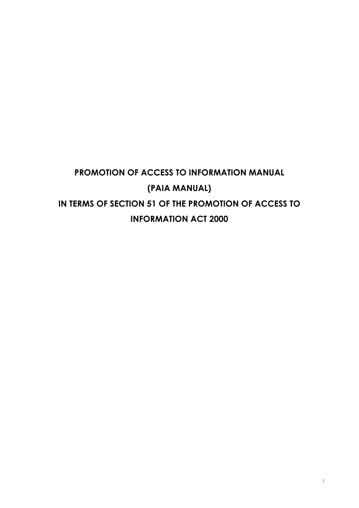# **PROMOTION OF ACCESS TO INFORMATION MANUAL (PAIA MANUAL) IN TERMS OF SECTION 51 OF THE PROMOTION OF ACCESS TO INFORMATION ACT 2000**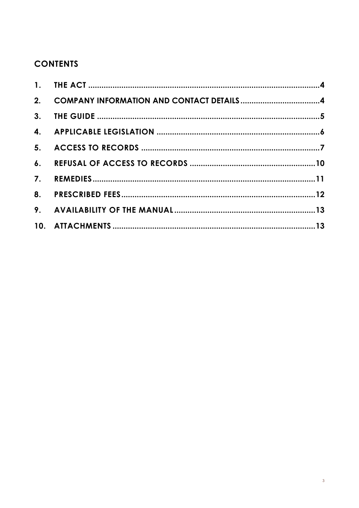## **CONTENTS**

| 2. COMPANY INFORMATION AND CONTACT DETAILS4 |  |
|---------------------------------------------|--|
|                                             |  |
|                                             |  |
|                                             |  |
|                                             |  |
|                                             |  |
|                                             |  |
|                                             |  |
|                                             |  |
|                                             |  |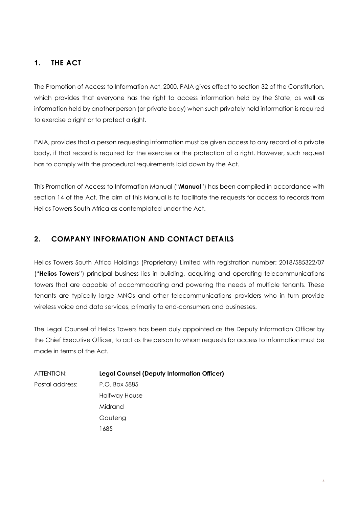## **1. THE ACT**

The Promotion of Access to Information Act, 2000, PAIA gives effect to section 32 of the Constitution, which provides that everyone has the right to access information held by the State, as well as information held by another person (or private body) when such privately held information is required to exercise a right or to protect a right.

PAIA, provides that a person requesting information must be given access to any record of a private body, if that record is required for the exercise or the protection of a right. However, such request has to comply with the procedural requirements laid down by the Act.

This Promotion of Access to Information Manual ("**Manual**") has been compiled in accordance with section 14 of the Act. The aim of this Manual is to facilitate the requests for access to records from Helios Towers South Africa as contemplated under the Act.

## **2. COMPANY INFORMATION AND CONTACT DETAILS**

Helios Towers South Africa Holdings (Proprietary) Limited with registration number: 2018/585322/07 ("**Helios Towers**") principal business lies in building, acquiring and operating telecommunications towers that are capable of accommodating and powering the needs of multiple tenants. These tenants are typically large MNOs and other telecommunications providers who in turn provide wireless voice and data services, primarily to end-consumers and businesses.

The Legal Counsel of Helios Towers has been duly appointed as the Deputy Information Officer by the Chief Executive Officer, to act as the person to whom requests for access to information must be made in terms of the Act.

ATTENTION: **Legal Counsel (Deputy Information Officer)** Postal address: P.O. Box 5885 Halfway House Midrand Gauteng

1685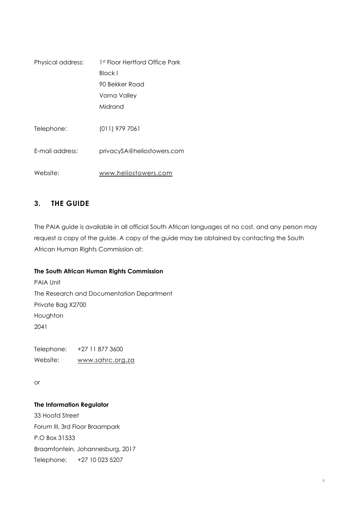| Physical address: | 1st Floor Hertford Office Park |
|-------------------|--------------------------------|
|                   | Block I                        |
|                   | 90 Bekker Road                 |
|                   | Vorna Valley                   |
|                   | Midrand                        |
|                   |                                |
| Telephone:        | $(011)$ 979 7061               |
|                   |                                |
| F-mail address:   | privacySA@heliostowers.com     |
|                   |                                |
| Website:          | www.heliostowers.com           |

## **3. THE GUIDE**

The PAIA guide is available in all official South African languages at no cost, and any person may request a copy of the guide. A copy of the guide may be obtained by contacting the South African Human Rights Commission at:

#### **The South African Human Rights Commission**

PAIA Unit The Research and Documentation Department Private Bag X2700 Houghton 2041

Telephone: +27 11 877 3600 Website: [www.sahrc.org.za](http://www.sahrc.org.za/) 

or

#### **The Information Regulator**

33 Hoofd Street Forum III, 3rd Floor Braampark P.O Box 31533 Braamfontein, Johannesburg, 2017 Telephone: +27 10 023 5207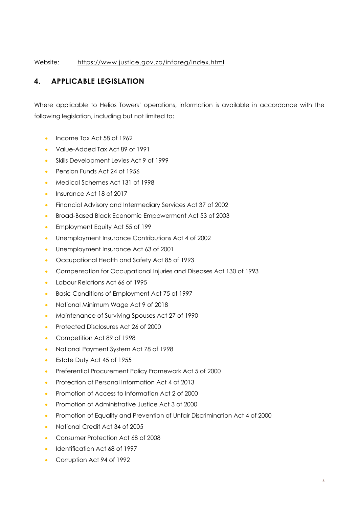Website: <https://www.justice.gov.za/inforeg/index.html>

## **4. APPLICABLE LEGISLATION**

Where applicable to Helios Towers' operations, information is available in accordance with the following legislation, including but not limited to:

- Income Tax Act 58 of 1962
- Value-Added Tax Act 89 of 1991
- Skills Development Levies Act 9 of 1999
- Pension Funds Act 24 of 1956
- Medical Schemes Act 131 of 1998
- Insurance Act 18 of 2017
- Financial Advisory and Intermediary Services Act 37 of 2002
- Broad-Based Black Economic Empowerment Act 53 of 2003
- Employment Equity Act 55 of 199
- Unemployment Insurance Contributions Act 4 of 2002
- Unemployment Insurance Act 63 of 2001
- Occupational Health and Safety Act 85 of 1993
- Compensation for Occupational Injuries and Diseases Act 130 of 1993
- Labour Relations Act 66 of 1995
- Basic Conditions of Employment Act 75 of 1997
- National Minimum Wage Act 9 of 2018
- Maintenance of Surviving Spouses Act 27 of 1990
- Protected Disclosures Act 26 of 2000
- Competition Act 89 of 1998
- National Payment System Act 78 of 1998
- Estate Duty Act 45 of 1955
- Preferential Procurement Policy Framework Act 5 of 2000
- Protection of Personal Information Act 4 of 2013
- Promotion of Access to Information Act 2 of 2000
- Promotion of Administrative Justice Act 3 of 2000
- Promotion of Equality and Prevention of Unfair Discrimination Act 4 of 2000
- National Credit Act 34 of 2005
- Consumer Protection Act 68 of 2008
- Identification Act 68 of 1997
- Corruption Act 94 of 1992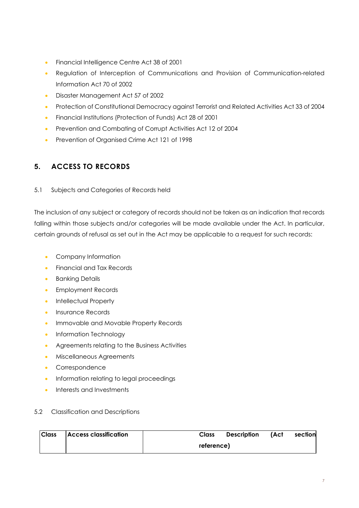- Financial Intelligence Centre Act 38 of 2001
- Regulation of Interception of Communications and Provision of Communication-related Information Act 70 of 2002
- Disaster Management Act 57 of 2002
- Protection of Constitutional Democracy against Terrorist and Related Activities Act 33 of 2004
- Financial Institutions (Protection of Funds) Act 28 of 2001
- Prevention and Combating of Corrupt Activities Act 12 of 2004
- Prevention of Organised Crime Act 121 of 1998

## **5. ACCESS TO RECORDS**

#### 5.1 Subjects and Categories of Records held

The inclusion of any subject or category of records should not be taken as an indication that records falling within those subjects and/or categories will be made available under the Act. In particular, certain grounds of refusal as set out in the Act may be applicable to a request for such records:

- Company Information
- Financial and Tax Records
- Banking Details
- Employment Records
- Intellectual Property
- Insurance Records
- Immovable and Movable Property Records
- Information Technology
- Agreements relating to the Business Activities
- Miscellaneous Agreements
- Correspondence
- Information relating to legal proceedings
- Interests and Investments

#### 5.2 Classification and Descriptions

| <b>Class</b> | <b>Access classification</b> | Class      | <b>Description</b> | (Act | section |
|--------------|------------------------------|------------|--------------------|------|---------|
|              |                              | reference) |                    |      |         |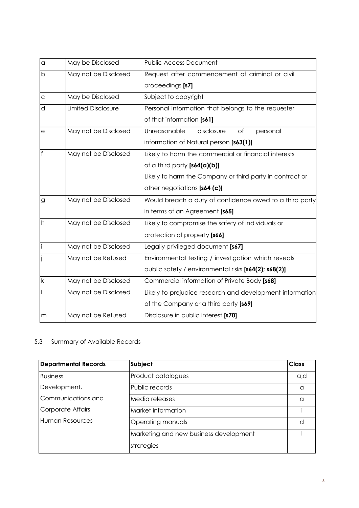| $\alpha$     | May be Disclosed          | <b>Public Access Document</b>                            |  |
|--------------|---------------------------|----------------------------------------------------------|--|
| b            | May not be Disclosed      | Request after commencement of criminal or civil          |  |
|              |                           | proceedings [s7]                                         |  |
| $\mathsf{C}$ | May be Disclosed          | Subject to copyright                                     |  |
| d            | <b>Limited Disclosure</b> | Personal Information that belongs to the requester       |  |
|              |                           | of that information [s61]                                |  |
| $\Theta$     | May not be Disclosed      | Unreasonable<br>disclosure<br>of<br>personal             |  |
|              |                           | information of Natural person [s63(1)]                   |  |
| f            | May not be Disclosed      | Likely to harm the commercial or financial interests     |  |
|              |                           | of a third party [s64(a)(b)]                             |  |
|              |                           | Likely to harm the Company or third party in contract or |  |
|              |                           | other negotiations [s64 (c)]                             |  |
| g            | May not be Disclosed      | Would breach a duty of confidence owed to a third party  |  |
|              |                           | in terms of an Agreement [s65]                           |  |
| h            | May not be Disclosed      | Likely to compromise the safety of individuals or        |  |
|              |                           | protection of property [s66]                             |  |
| İ            | May not be Disclosed      | Legally privileged document [s67]                        |  |
|              | May not be Refused        | Environmental testing / investigation which reveals      |  |
|              |                           | public safety / environmental risks [s64(2); s68(2)]     |  |
| $\sf k$      | May not be Disclosed      | Commercial information of Private Body [s68]             |  |
|              | May not be Disclosed      | Likely to prejudice research and development information |  |
|              |                           | of the Company or a third party [s69]                    |  |
| m            | May not be Refused        | Disclosure in public interest [s70]                      |  |

## 5.3 Summary of Available Records

| <b>Departmental Records</b> | Subject                                |     |
|-----------------------------|----------------------------------------|-----|
| <b>Business</b>             | Product catalogues                     | a,d |
| Development,                | Public records                         | a   |
| Communications and          | Media releases                         | ∩   |
| Corporate Affairs           | Market information                     |     |
| Human Resources             | Operating manuals                      |     |
|                             | Marketing and new business development |     |
|                             | strategies                             |     |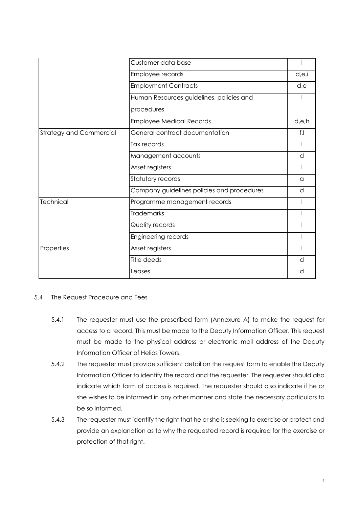|                                | Customer data base                         |       |
|--------------------------------|--------------------------------------------|-------|
|                                | Employee records                           |       |
|                                | <b>Employment Contracts</b>                |       |
|                                | Human Resources guidelines, policies and   |       |
|                                | procedures                                 |       |
|                                | <b>Employee Medical Records</b>            | d.e.h |
| <b>Strategy and Commercial</b> | General contract documentation             | f,l   |
|                                | Tax records                                |       |
|                                | Management accounts                        |       |
|                                | Asset registers                            |       |
|                                | Statutory records                          | a     |
|                                | Company guidelines policies and procedures | d     |
| Technical                      | Programme management records               |       |
|                                | <b>Trademarks</b>                          |       |
|                                | Quality records                            |       |
|                                | Engineering records                        |       |
| Properties                     | Asset registers                            |       |
|                                | Title deeds                                | d     |
|                                | Leases                                     | d     |

#### 5.4 The Request Procedure and Fees

- 5.4.1 The requester must use the prescribed form (Annexure A) to make the request for access to a record. This must be made to the Deputy Information Officer. This request must be made to the physical address or electronic mail address of the Deputy Information Officer of Helios Towers.
- 5.4.2 The requester must provide sufficient detail on the request form to enable the Deputy Information Officer to identify the record and the requester. The requester should also indicate which form of access is required. The requester should also indicate if he or she wishes to be informed in any other manner and state the necessary particulars to be so informed.
- 5.4.3 The requester must identify the right that he or she is seeking to exercise or protect and provide an explanation as to why the requested record is required for the exercise or protection of that right.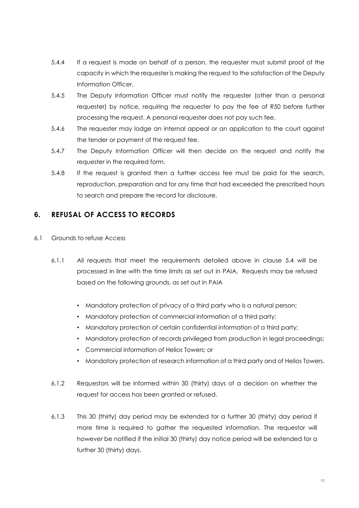- 5.4.4 If a request is made on behalf of a person, the requester must submit proof of the capacity in which the requester is making the request to the satisfaction of the Deputy Information Officer.
- 5.4.5 The Deputy Information Officer must notify the requester (other than a personal requester) by notice, requiring the requester to pay the fee of R50 before further processing the request. A personal requester does not pay such fee.
- 5.4.6 The requester may lodge an internal appeal or an application to the court against the tender or payment of the request fee.
- 5.4.7 The Deputy Information Officer will then decide on the request and notify the requester in the required form.
- 5.4.8 If the request is granted then a further access fee must be paid for the search, reproduction, preparation and for any time that had exceeded the prescribed hours to search and prepare the record for disclosure.

## **6. REFUSAL OF ACCESS TO RECORDS**

- 6.1 Grounds to refuse Access
	- 6.1.1 All requests that meet the requirements detailed above in clause 5.4 will be processed in line with the time limits as set out in PAIA. Requests may be refused based on the following grounds, as set out in PAIA
		- Mandatory protection of privacy of a third party who is a natural person;
		- Mandatory protection of commercial information of a third party;
		- Mandatory protection of certain confidential information of a third party;
		- Mandatory protection of records privileged from production in legal proceedings;
		- Commercial information of Helios Towers; or
		- Mandatory protection of research information of a third party and of Helios Towers.
	- 6.1.2 Requestors will be informed within 30 (thirty) days of a decision on whether the request for access has been granted or refused.
	- 6.1.3 This 30 (thirty) day period may be extended for a further 30 (thirty) day period if more time is required to gather the requested information. The requestor will however be notified if the initial 30 (thirty) day notice period will be extended for a further 30 (thirty) days.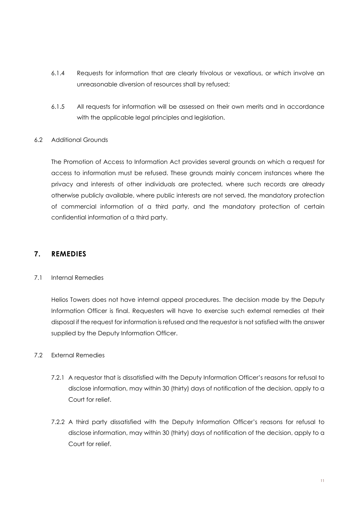- 6.1.4 Requests for information that are clearly frivolous or vexatious, or which involve an unreasonable diversion of resources shall by refused;
- 6.1.5 All requests for information will be assessed on their own merits and in accordance with the applicable legal principles and legislation.

#### 6.2 Additional Grounds

The Promotion of Access to Information Act provides several grounds on which a request for access to information must be refused. These grounds mainly concern instances where the privacy and interests of other individuals are protected, where such records are already otherwise publicly available, where public interests are not served, the mandatory protection of commercial information of a third party, and the mandatory protection of certain confidential information of a third party.

#### **7. REMEDIES**

#### 7.1 Internal Remedies

Helios Towers does not have internal appeal procedures. The decision made by the Deputy Information Officer is final. Requesters will have to exercise such external remedies at their disposal if the request for information is refused and the requestor is not satisfied with the answer supplied by the Deputy Information Officer.

#### 7.2 External Remedies

- 7.2.1 A requestor that is dissatisfied with the Deputy Information Officer's reasons for refusal to disclose information, may within 30 (thirty) days of notification of the decision, apply to a Court for relief.
- 7.2.2 A third party dissatisfied with the Deputy Information Officer's reasons for refusal to disclose information, may within 30 (thirty) days of notification of the decision, apply to a Court for relief.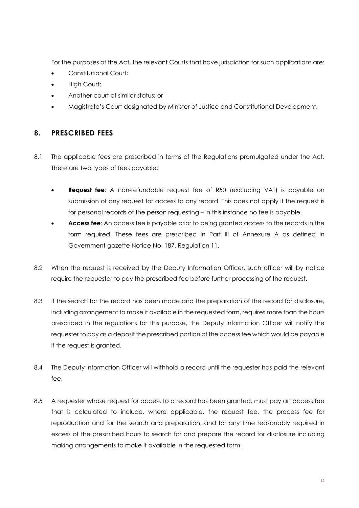For the purposes of the Act, the relevant Courts that have jurisdiction for such applications are:

- Constitutional Court;
- High Court:
- Another court of similar status; or
- Magistrate's Court designated by Minister of Justice and Constitutional Development.

#### **8. PRESCRIBED FEES**

- 8.1 The applicable fees are prescribed in terms of the Regulations promulgated under the Act. There are two types of fees payable:
	- **Request fee**: A non-refundable request fee of R50 (excluding VAT) is payable on submission of any request for access to any record. This does not apply if the request is for personal records of the person requesting – in this instance no fee is payable.
	- **Access fee**: An access fee is payable prior to being granted access to the records in the form required. These fees are prescribed in Part III of Annexure A as defined in Government gazette Notice No. 187, Regulation 11.
- 8.2 When the request is received by the Deputy Information Officer, such officer will by notice require the requester to pay the prescribed fee before further processing of the request.
- 8.3 If the search for the record has been made and the preparation of the record for disclosure, including arrangement to make it available in the requested form, requires more than the hours prescribed in the regulations for this purpose, the Deputy Information Officer will notify the requester to pay as a deposit the prescribed portion of the access fee which would be payable if the request is granted.
- 8.4 The Deputy Information Officer will withhold a record until the requester has paid the relevant fee.
- 8.5 A requester whose request for access to a record has been granted, must pay an access fee that is calculated to include, where applicable, the request fee, the process fee for reproduction and for the search and preparation, and for any time reasonably required in excess of the prescribed hours to search for and prepare the record for disclosure including making arrangements to make it available in the requested form.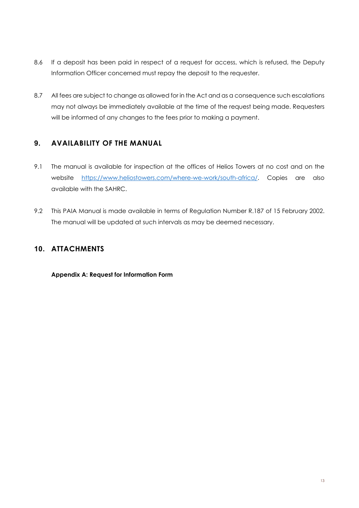- 8.6 If a deposit has been paid in respect of a request for access, which is refused, the Deputy Information Officer concerned must repay the deposit to the requester.
- 8.7 All fees are subject to change as allowed for in the Act and as a consequence such escalations may not always be immediately available at the time of the request being made. Requesters will be informed of any changes to the fees prior to making a payment.

## **9. AVAILABILITY OF THE MANUAL**

- 9.1 The manual is available for inspection at the offices of Helios Towers at no cost and on the website [https://www.heliostowers.com/where-we-work/south-africa/.](https://www.heliostowers.com/where-we-work/south-africa/) Copies are also available with the SAHRC.
- 9.2 This PAIA Manual is made available in terms of Regulation Number R.187 of 15 February 2002. The manual will be updated at such intervals as may be deemed necessary.

## **10. ATTACHMENTS**

**Appendix A: Request for Information Form**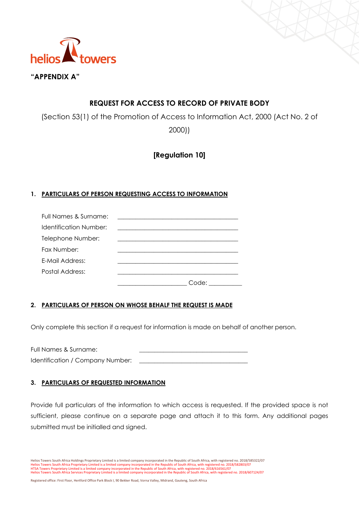

## **REQUEST FOR ACCESS TO RECORD OF PRIVATE BODY**

(Section 53(1) of the Promotion of Access to Information Act, 2000 (Act No. 2 of

2000))

## **[Regulation 10]**

#### **1. PARTICULARS OF PERSON REQUESTING ACCESS TO INFORMATION**

| Full Names & Surname:  |       |
|------------------------|-------|
| Identification Number: |       |
| Telephone Number:      |       |
| Fax Number:            |       |
| E-Mail Address:        |       |
| Postal Address:        |       |
|                        | :ode: |

#### **2. PARTICULARS OF PERSON ON WHOSE BEHALF THE REQUEST IS MADE**

Only complete this section if a request for information is made on behalf of another person.

Full Names & Surname: Identification / Company Number:

#### **3. PARTICULARS OF REQUESTED INFORMATION**

Provide full particulars of the information to which access is requested. If the provided space is not sufficient, please continue on a separate page and attach it to this form. Any additional pages submitted must be initialled and signed.

Helios Towers South Africa Holdings Proprietary Limited is a limited company incorporated in the Republic of South Africa, with registered no. 2018/585322/07 Helios Towers South Africa Proprietary Limited is a limited company incorporated in the Republic of South Africa, with registered no. 2018/582803/07<br>HTSA Towers Proprietary Limited is a limited company incorporated in the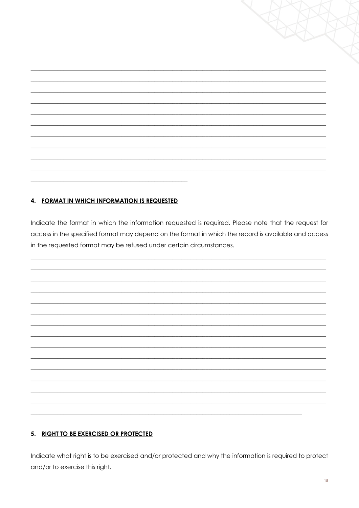#### 4. FORMAT IN WHICH INFORMATION IS REQUESTED

Indicate the format in which the information requested is required. Please note that the request for access in the specified format may depend on the format in which the record is available and access in the requested format may be refused under certain circumstances.

#### 5. RIGHT TO BE EXERCISED OR PROTECTED

Indicate what right is to be exercised and/or protected and why the information is required to protect and/or to exercise this right.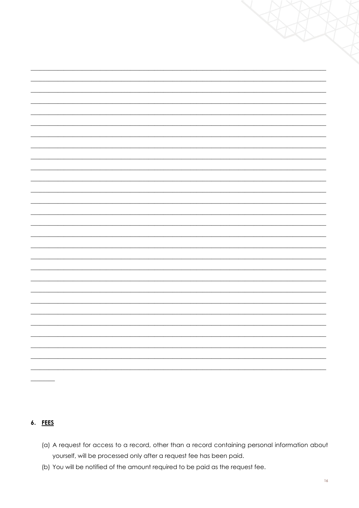| XX L                     |
|--------------------------|
|                          |
|                          |
|                          |
|                          |
|                          |
|                          |
|                          |
|                          |
|                          |
|                          |
|                          |
|                          |
|                          |
|                          |
|                          |
| $\overline{\phantom{0}}$ |
|                          |

#### 6. FEES

- (a) A request for access to a record, other than a record containing personal information about yourself, will be processed only after a request fee has been paid.
- (b) You will be notified of the amount required to be paid as the request fee.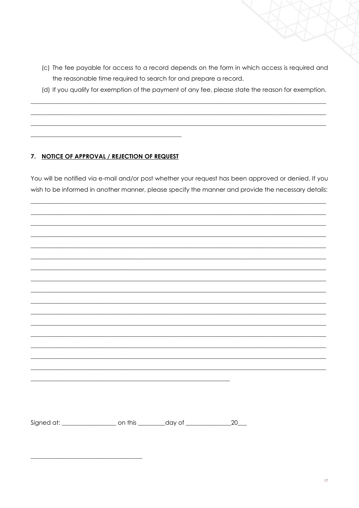- (c) The fee payable for access to a record depends on the form in which access is required and the reasonable time required to search for and prepare a record.
- (d) If you qualify for exemption of the payment of any fee, please state the reason for exemption.

#### 7. NOTICE OF APPROVAL / REJECTION OF REQUEST

You will be notified via e-mail and/or post whether your request has been approved or denied. If you wish to be informed in another manner, please specify the manner and provide the necessary details:

|                                                                                  | <u> 1989 - Johann John Stone, Amerikaansk politiker († 1908)</u> |                   |
|----------------------------------------------------------------------------------|------------------------------------------------------------------|-------------------|
|                                                                                  |                                                                  |                   |
|                                                                                  |                                                                  |                   |
|                                                                                  |                                                                  |                   |
| Signed at: ____________________ on this __________day of _______________________ |                                                                  | $20$ <sub>—</sub> |
|                                                                                  |                                                                  |                   |